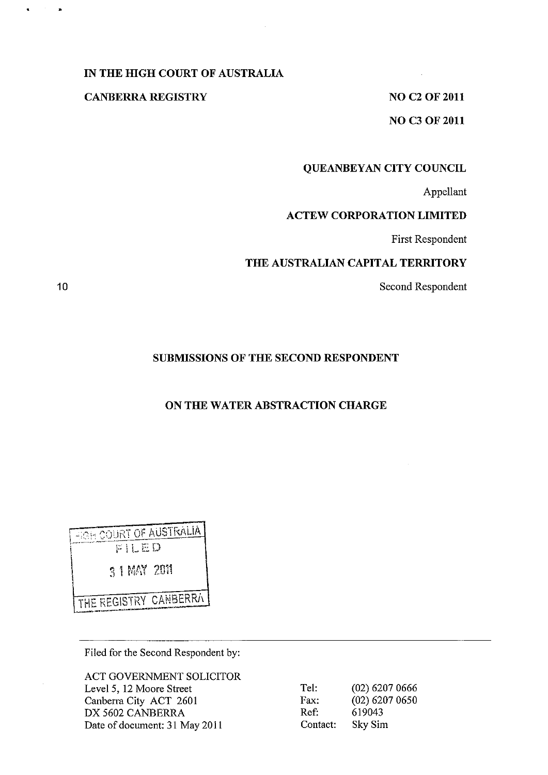## **IN THE HIGH COURT OF AUSTRALIA**

#### **CANBERRA REGISTRY** NO C2 OF 2011

 $\sim 10^7$ 

**NO C3** OF 2011

## **QUEANBEYAN CITY COUNCIL**

Appellant

## **ACTEW CORPORATION LIMITED**

First Respondent

# **THE AUSTRALIAN CAPITAL TERRITORY**

Second Respondent

# **SUBMISSIONS OF THE SECOND RESPONDENT**

# **ON THE WATER ABSTRACTION CHARGE**

 $\frac{1}{\sqrt{2}}$   $\frac{1}{\sqrt{2}}$   $\frac{1}{\sqrt{2}}$   $\frac{1}{\sqrt{2}}$   $\frac{1}{\sqrt{2}}$   $\frac{1}{\sqrt{2}}$   $\frac{1}{\sqrt{2}}$   $\frac{1}{\sqrt{2}}$   $\frac{1}{\sqrt{2}}$   $\frac{1}{\sqrt{2}}$   $\frac{1}{\sqrt{2}}$   $\frac{1}{\sqrt{2}}$   $\frac{1}{\sqrt{2}}$   $\frac{1}{\sqrt{2}}$   $\frac{1}{\sqrt{2}}$   $\frac{1}{\sqrt{2}}$   $\frac{1}{\sqrt{2}}$  \ 3 i~ 1~~I~; ';011 THE REGISTRY CANBERRA

Filed for the Second Respondent by:

ACT GOVERNMENT SOLICITOR Level 5, 12 Moore Street Canberra City ACT 2601 DX 5602 CANBERRA Date of document: 31 May 2011

| Tel:     | $(02)$ 6207 0666 |
|----------|------------------|
| Fax:     | $(02)$ 6207 0650 |
| Ref:     | 619043           |
| Contact: | Sky Sim          |

10

•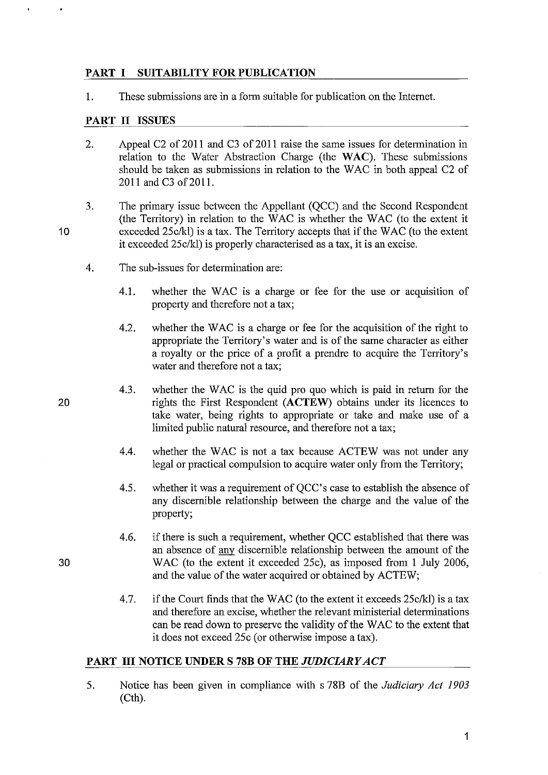## PART I SUITABILITY FOR PUBLICATION

1. These submissions are in a form suitable for publication on the Internet.

## PART II ISSUES

- 2. Appeal C2 of 2011 and C3 of 2011 raise the same issues for determination in relation to the Water Abstraction Charge (the WAC). These submissions should be taken as submissions in relation to the WAC in both appeal C2 of 2011 and C3 of 2011.
- 3. The primary issue between the Appellant (QCC) and the Second Respondent (the Territory) in relation to the WAC is whether the WAC (to the extent it exceeded 25c/kl) is a tax. The Territory accepts that if the WAC (to the extent it exceeded 25c/kl) is properly characterised as a tax, it is an excise.
	- 4. The sub-issues for determination are:
		- 4.1. whether the WAC is a charge or fee for the use or acquisition of property and therefore not a tax;
		- 4.2. whether the WAC is a charge or fee for the acquisition of the right to appropriate the Territory's water and is of the same character as either a royalty or the price of a profit a prendre to acquire the Territory's water and therefore not a tax;
		- 4.3. whether the WAC is the quid pro quo which is paid in return for the rights the First Respondent (ACTEW) obtains under its licences to take water, being rights to appropriate or take and make use of a limited public natural resource, and therefore not a tax;
		- 4.4. whether the WAC is not a tax because ACTEW was not under any legal or practical compulsion to acquire water only from the Territory;
		- 4.5. whether it was a requirement of QCC's case to establish the absence of any discernible relationship between the charge and the value of the property;
		- 4.6. if there is such a requirement, whether QCC established that there was an absence of any discernible relationship between the amount of the WAC (to the extent it exceeded 25c), as imposed from I July 2006, and the value of the water acquired or obtained by ACTEW;
		- 4.7. if the Court finds that the WAC (to the extent it exceeds 25c/kl) is a tax and therefore an excise, whether the relevant ministerial determinations can be read down to preserve the validity of the W AC to the extent that it does not exceed 25c (or otherwise impose a tax).

#### PART III NOTICE UNDER S 78B OF THE *JUDICIARY ACT*

5. Notice has been given in compliance with s 78B of the *Judiciary Act 1903*  (Cth).

20

10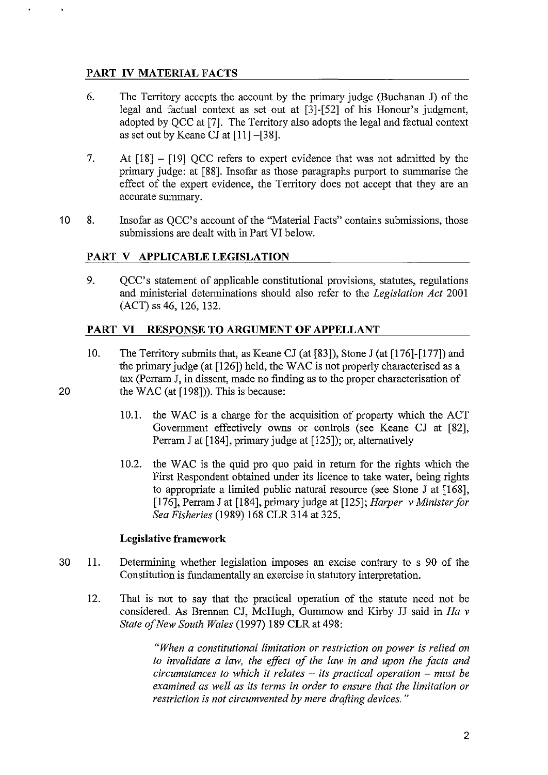# **PART IV MATERIAL FACTS**

- 6. The Territory accepts the account by the primary judge (Buchanan J) of the legal and factual context as set out at [3]-[52] of his Honour's judgment, adopted by QCC at [7]. The Territory also adopts the legal and factual context as set out by Keane CJ at [11]-[38].
- 7. At [18] [19] QCC refers to expert evidence that was not admitted by the primary judge: at [88]. Insofar as those paragraphs purport to summarise the effect of the expert evidence, the Territory does not accept that they are an accurate summary.
- 10 8. Insofar as QCC's account of the "Material Facts" contains submissions, those submissions are dealt with in Part VI below.

# **PART V** APPLICABLE LEGISLATION

9. QCC's statement of applicable constitutional provisions, statutes, regulations and ministerial determinations should also refer to the *Legislation Act 2001*  (ACT) ss 46, 126, 132.

# **PART VI RESPONSE TO ARGUMENT OF APPELLANT**

- 10. The Territory submits that, as Keane CJ (at [83]), Stone J (at [176]-[177]) and the primary judge (at [126]) held, the WAC is not properly characterised as a tax (Perram **J,** in dissent, made no finding as to the proper characterisation of the WAC (at  $[198]$ )). This is because:
	- 10.1. the WAC is a charge for the acquisition of property which the ACT Government effectively owns or controls (see Keane CJ at [82], Perram J at [184], primary judge at [125]); or, alternatively
	- 10.2. the WAC is the quid pro quo paid in return for the rights which the First Respondent obtained under its licence to take water, being rights to appropriate a limited public natural resource (see Stone J at [168], [176], Perram J at [184], primary judge at [125]; *Harper* v *Minister for Sea Fisheries* (1989) 168 CLR 314 at 325.

#### **Legislative framework**

- 30 11. Determining whether legislation imposes an excise contrary to s 90 of the Constitution is fundamentally an exercise in statutory interpretation.
	- 12. That is not to say that the practical operation of the statute need not be considered. As Brennan CJ, McHugh, Gumrnow and Kirby JJ said in *Ha* v *State of New South Wales* (1997) 189 CLR at 498:

*"When a constitutional limitation or restriction on power is relied on to invalidate a law, the effect of the law in and upon the facts and circumstances to which it relates* - *its practical operation* - *must be examined as well as its terms in order to ensure that the limitation or restriction is not circumvented by mere drafting devices. "*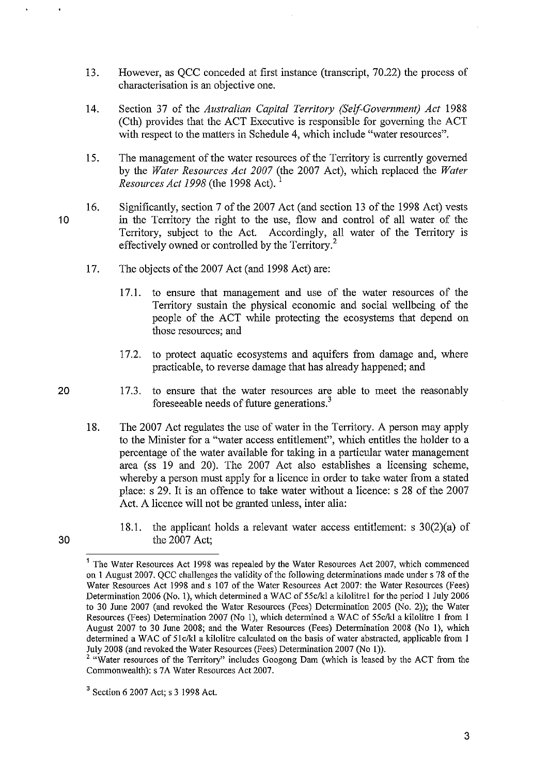- 13. However, as QCC conceded at first instance (transcript, 70.22) the process of characterisation is an objective one.
- 14. Section 37 of the *Australian Capital Territory (Self-Government) Act 1988*  (Cth) provides that the ACT Executive is responsible for governing the ACT with respect to the matters in Schedule 4, which include "water resources".
- 15. The management of the water resources of the Territory is currently governed by the *Water Resources Act 2007* (the 2007 Act), which replaced the *Water Resources Act 1998* (the 1998 Act).
- 10 16. Significantly, section 7 of the 2007 Act (and section 13 of the 1998 Act) vests in the Territory the right to the use, flow and control of all water of the Territory, subject to the Act. Accordingly, all water of the Territory is effectively owned or controlled by the Territory.<sup>2</sup>
	- 17. The objects of the 2007 Act (and 1998 Act) are:
		- 17.1. to ensure that management and use of the water resources of the Territory sustain the physical economic and social wellbeing of the people of the ACT while protecting the ecosystems that depend on those resources; and
		- 17.2. to protect aquatic ecosystems and aquifers from damage and, where practicable, to reverse damage that has already happened; and
		- 17.3. to ensure that the water resources are able to meet the reasonably foreseeable needs of future generations.<sup>3</sup>
	- 18. The 2007 Act regulates the use of water in the Territory. A person may apply to the Minister for a "water access entitlement", which entitles the holder to a percentage of the water available for taking in a particular water management area (ss 19 and 20). The 2007 Act also establishes a licensing scheme, whereby a person must apply for a licence in order to take water from a stated place: s 29. It is an offence to take water without a licence: s 28 of the 2007 Act. A licence will not be granted unless, inter alia:
		- 18.1. the applicant holds a relevant water access entitlement: s 30(2)(a) of the 2007 Act;

20

<sup>&</sup>lt;sup>1</sup> The Water Resources Act 1998 was repealed by the Water Resources Act 2007, which commenced on 1 August 2007. QCC challenges the validity of the following determinations made under s 78 of the Water Resources Act 1998 and s 107 of the Water Resources Act 2007: the Water Resources (Fees) Determination 2006 (No. 1), which determined a WAC of 55c/kl a kilolitre1 for the period 1 July 2006 to 30 June 2007 (and revoked the Water Resources (Fees) Determination 2005 (No. 2)); the Water Resources (Fees) Determination 2007 (No 1), which determined a WAC of 55c/kl a kilolitre 1 from 1 August 2007 to 30 June 2008; and the Water Resources (Fees) Determination 2008 (No I), which determined a WAC of 51c/kl a kilolitre calculated on the basis of water abstracted, applicable from 1 July 2008 (and revoked the Water Resources (Fees) Determination 2007 (No I)).

<sup>&</sup>lt;sup>2</sup> "Water resources of the Territory" includes Googong Dam (which is leased by the ACT from the Commonwealth): s 7A Water Resources Act 2007.

<sup>3</sup> Section 6 2007 Act; s 3 1998 Act.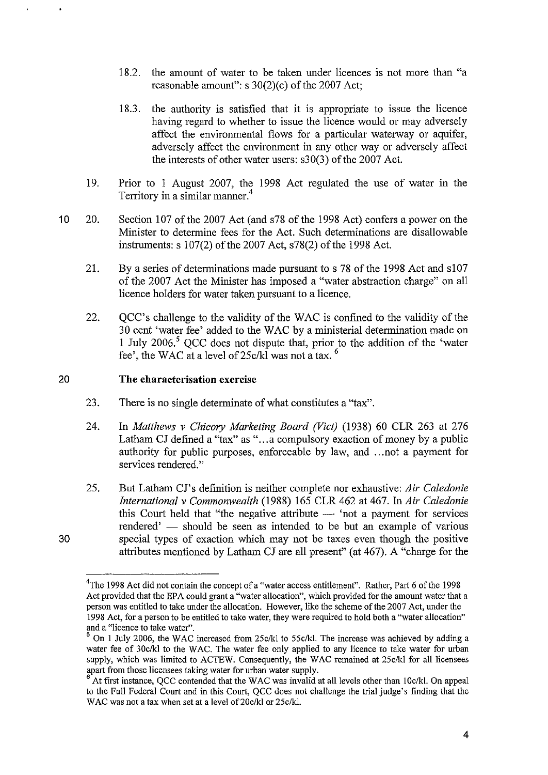- 18.2. the amount of water to be taken under licences is not more than "a reasonable amount": s 30(2)(c) of the 2007 Act;
- 18.3. the authority is satisfied that it is appropriate to issue the licence having regard to whether to issue the licence would or may adversely affect the environmental flows for a particular waterway or aquifer, adversely affect the environment in any other way or adversely affect the interests of other water users: s30(3) of the 2007 Act.
- 19. Prior to 1 August 2007, the 1998 Act regulated the use of water in the Territory in a similar manner.<sup>4</sup>
- 10 20. Section 107 of the 2007 Act (and s78 of the 1998 Act) confers a power on the Minister to determine fees for the Act. Such determinations are disallowable instruments:  $s \frac{107(2)}{6}$  of the 2007 Act,  $s \frac{78(2)}{6}$  of the 1998 Act.
	- 21. By a series of determinations made pursuant to s 78 of the 1998 Act and s107 of the 2007 Act the Minister has imposed a "water abstraction charge" on all licence holders for water taken pursuant to a licence.
	- 22. QCC's challenge to the validity of the WAC is confmed to the validity of the 30 cent 'water fee' added to the W AC by a ministerial determination made on 1 July 2006.<sup>5</sup> OCC does not dispute that, prior to the addition of the 'water fee', the WAC at a level of 25c/kl was not a tax. 6

#### 20 **The characterisation exercise**

- 23. There is no single determinate of what constitutes a "tax".
- 24. In *Matthews* v *Chicory Marketing Board (Vict)* (1938) 60 CLR 263 at 276 Latham CJ defined a "tax" as "... a compulsory exaction of money by a public authority for public purposes, enforceable by law, and ... not a payment for services rendered."
- 25. But Latham CJ's definition is neither complete nor exhaustive: *Air Caledonie International* v *Commonwealth* (1988) 165 CLR 462 at 467. In *Air Caledonie*  this Court held that "the negative attribute  $-$  'not a payment for services rendered' — should be seen as intended to be but an example of various special types of exaction which may not be taxes even though the positive attributes mentioned by Latham CJ are all present" (at 467). A "charge for the

<sup>&</sup>lt;sup>4</sup>The 1998 Act did not contain the concept of a "water access entitlement". Rather, Part 6 of the 1998 Act provided that the EPA could grant a "water allocation", which provided for the amount water that a person was entitled to take under the allocation. However, like the scheme of the 2007 Act, under the 1998 Act, for a person to be entitled to take water, they were required to hold both a "water allocation" **and a "licence to take water".** 

<sup>&</sup>lt;sup>5</sup> On 1 July 2006, the WAC increased from 25c/kl to 55c/kl. The increase was achieved by adding a water fee of 30c/kl to the WAC. The water fee only applied to any licence to take water for urban supply, which was limited to ACTEW. Consequently, the WAC remained at *25c/kl* for all licensees apart from those licensees taking water for urban water supply.

At first instance, QCC contended that the WAC was invalid at all levels other than 10c/kl. On appeal to the Full Federal Court and in this Court, QCC does not challenge the trial judge's finding that the WAC was not a tax when set at a level of 20c/kl or 25c/kl.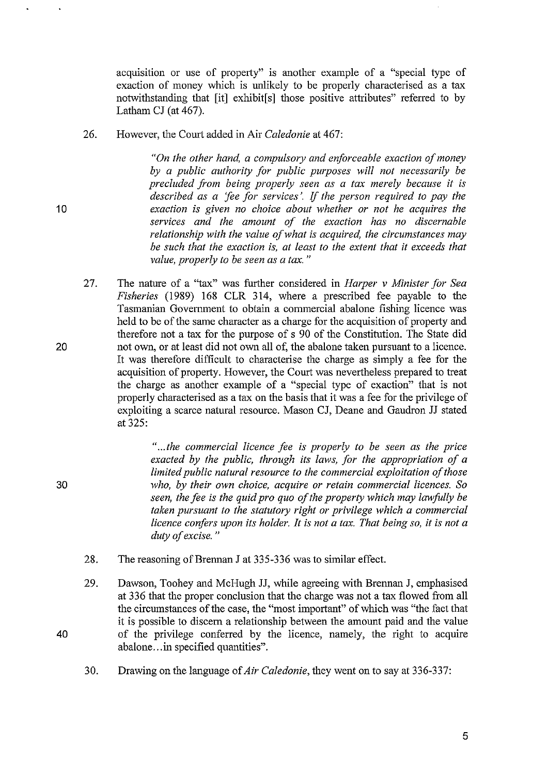acquisition or use of property" is another example of a "special type of exaction of money which is unlikely to be properly characterised as a tax notwithstanding that [it] exhibit[s] those positive attributes" referred to by Latham CJ (at 467).

26. However, the Court added in Air *Caledonie* at 467:

> *"On the other hand, a compulsory and enforceable exaction of money by a public authority for public purposes will not necessarily be precluded from being properly seen as a tax merely because it is described as a 'fee for services'.* If *the person required to pay the exaction is given no choice about whether or not he acquires the services and the amount of the exaction has no discernable relationship with the value of what is acquired, the circumstances may be such that the exaction is, at least to the extent that it exceeds that value, properly to be seen as a tax. "*

27. The nature of a "tax" was further considered in *Harper* v *Minister for Sea Fisheries* (1989) 168 CLR 314, where a prescribed fee payable to the Tasmanian Government to obtain a commercial abalone fishing licence was held to be of the same character as a charge for the acquisition of property and therefore not a tax for the purpose of s 90 of the Constitution. The State did not own, or at least did not own all of, the abalone taken pursuant to a licence. It was therefore difficult to characterise the charge as simply a fee for the acquisition of property. However, the Court was nevertheless prepared to treat the charge as another example of a "special type of exaction" that is not properly characterised as a tax on the basis that it was a fee for the privilege of exploiting a scarce natural resource. Mason CJ, Deane and Gaudron JJ stated at 325:

> " ... *the commercial licence fee is properly to be seen as the price exacted by the public, through its laws, for the appropriation of a limited public natural resource to the commercial exploitation of those who, by their own choice, acquire or retain commercial licences. So seen, the fee is the quid pro quo of the property which may lawfully be taken pursuant to the statutory right or privilege which a commercial licence confers upon its holder. It is not a tax. That being so, it is not a duty of excise. "*

- 28. The reasoning of Brennan J at 335-336 was to similar effect.
- 29. Dawson, Toohey and McHugh JJ, while agreeing with Brennan J, emphasised at 336 that the proper conclusion that the charge was not a tax flowed from all the circumstances of the case, the "most important" of which was "the fact that it is possible to discern a relationship between the amount paid and the value of the privilege conferred by the licence, namely, the right to acquire abalone...in specified quantities".
- 30. Drawing on the language of *Air Caledonie,* they went on to say at 336-337:

20

10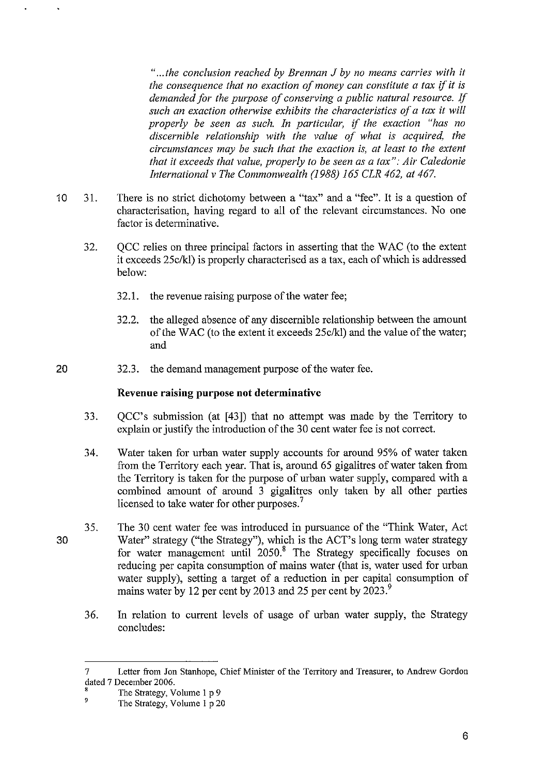" ... *the conclusion reached by Brennan* J *by no means carries with it the consequence that no exaction of money can constitute a tax* if *it is demanded for the purpose of conserving a public natural resource.* If *such an exaction otherwise exhibits the characteristics of a tax it will properly be seen as such. In particular,* if *the exaction "has no discernible relationship with the value of what is acquired, the circumstances may be such that the exaction is, at least to the extent that it exceeds that value, properly to be seen as a tax": Air Caledonie International* v *The Commonwealth* (1988) 165 *CLR* 462, *at 467.* 

- 10 31. There is no strict dichotomy between a "tax" and a "fee". It is a question of characterisation, having regard to all of the relevant circumstances. No one factor is determinative.
	- 32. QCC relies on three principal factors in asserting that the W AC (to the extent it exceeds 25c/kl) is properly characterised as a tax, each of which is addressed below:
		- 32.1. the revenue raising purpose of the water fee;
		- 32.2. the alleged absence of any discernible relationship between the amount of the WAC (to the extent it exceeds *25c/kl)* and the value of the water; and
- 20 32.3. the demand management purpose of the water fee.

#### **Revenue raising purpose not determinative**

- 33. QCC's submission (at [43]) that no attempt was made by the Territory to explain or justify the introduction of the 30 cent water fee is not correct.
- 34. Water taken for urban water supply accounts for around 95% of water taken from the Territory each year. That is, around 65 gigalitres of water taken from the Territory is taken for the purpose of urban water supply, compared with a combined amount of around 3 gigalitres only taken by all other parties licensed to take water for other purposes.<sup>7</sup>
- 30 35. The 30 cent water fee was introduced in pursuance of the "Think Water, Act Water" strategy ("the Strategy"), which is the ACT's long term water strategy for water management until 2050.<sup>8</sup> The Strategy specifically focuses on reducing per capita consumption of mains water (that is, water used for urban water supply), setting a target of a reduction in per capital consumption of mains water by 12 per cent by 2013 and 25 per cent by 2023.<sup>9</sup>
	- 36. In relation to current levels of usage of urban water supply, the Strategy concludes:

<sup>7</sup> Letter from Jon Stanhope, Chief Minister of the Territory and Treasurer, to Andrew Gordon dated 7 December 2006.

<sup>&</sup>lt;sup>8</sup> The Strategy, Volume 1 p 9<br><sup>9</sup> The Strategy, Volume 1 p 9

The Strategy, Volume 1 p 20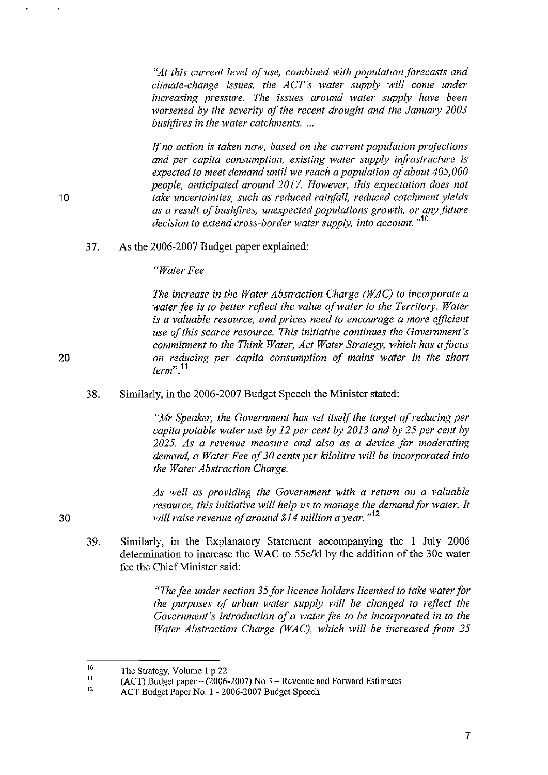*"At this current level of use. combined with population forecasts and climate-change issues, the ACT's water supply will come under increasing pressure. The issues around water supply have been worsened by the severity of the recent drought and the January 2003 bush fires in the water catchments.* ...

If *no action is taken now, based on the current population projections and per capita consumption, existing water supply infrastructure is expected to meet demand until we reach a population of about 405,000 people, anticipated around 2017. However, this expectation does not take uncertainties, such as reduced rainfall, reduced catchment yields as a result of bush fires, unexpected populations growth, or any future decision to extend cross-border water supply, into account.*<sup>"10</sup>

37. As the 2006-2007 Budget paper explained:

*"Water Fee* 

*The increase in the Water Abstraction Charge (WAC) to incorporate a water fee is to better reflect the value of water to the Territory. Water is a valuable resource, and prices need to encourage a more efficient use of this scarce resource. This initiative continues the Government's commitment to the Think Water, Act Water Strategy, which has afocus on reducing per capita consumption of mains water in the short term"* **.11** 

38. Similarly, in the 2006-2007 Budget Speech the Minister stated:

> *"Mr Speaker, the Government has set itself the target of reducing per capita potable water use by* 12 *per cent by 2013 and by* 25 *per cent by 2025. As a revenue measure and also as a device for moderating demand, a Water Fee of 30 cents per kilolitre will be incorporated into the Water Abstraction Charge.*

> *As well as providing the Government with a return on a valuable resource, this initiative will help us to manage the demand for water. It will raise revenue of around \$14 million a year.* "<sup>12</sup>

39. Similarly, in the Explanatory Statement accompanying the **I July** 2006 determination to increase the WAC to *55c/kl* by the addition of the 30c water fee the Chief Minister said:

> *"The fee under section* 35 *for licence holders licensed to take water for the purposes of urban water supply will be changed to reflect the Government's introduction of a water fee to be incorporated in to the Water Abstraction Charge (WAC), which will be increased from 25*

20

**10** 

<sup>10</sup>  The Strategy, Volume 1 p 22

<sup>11</sup>  12 (ACT) Budget paper  $-$  (2006-2007) No 3 – Revenue and Forward Estimates

ACT Budget Paper No. 1 - 2006-2007 Budget Speech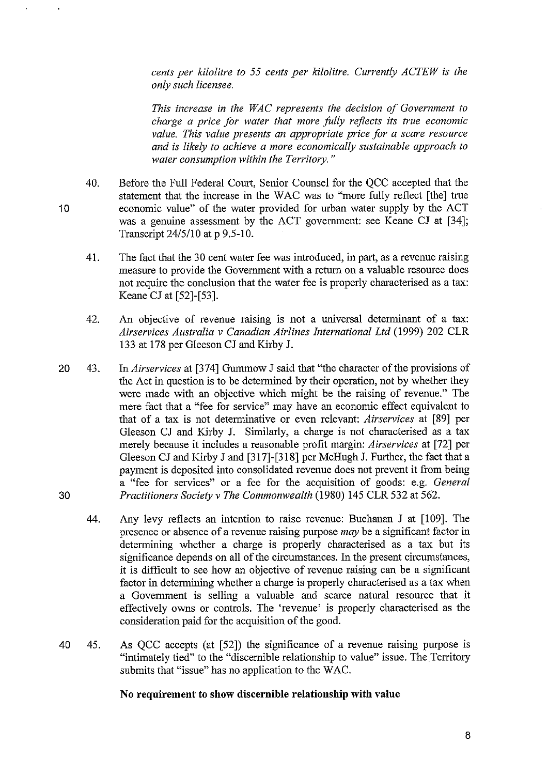*cents per kilolitre to* 55 *cents per kilolitre. Currently ACTEW is the only such licensee.* 

*This increase in the WAC represents the decision of Government to charge a price for water that more folly reflects its true economic value. This value presents an appropriate price for a scare resource and is likely to achieve a more economically sustainable approach to water consumption within the Territory. "* 

- 40. Before the Full Federal Court, Senior Counsel for the QCC accepted that the statement that the increase in the WAC was to "more fully reflect [the] true economic value" of the water provided for urban water supply by the ACT was a genuine assessment by the ACT govermnent: see Keane CJ at [34]; Transcript 24/5/10 at p 9.5-10.
	- 41. The fact that the 30 cent water fee was introduced, in part, as a revenue raising measure to provide the Government with a return on a valuable resource does not require the conclusion that the water fee is properly characterised as a tax: Keane CJ at [52]-[53].
	- 42. An objective of revenue raising is not a universal determinant of a tax: *Airservices Australia* v *Canadian Airlines International Ltd* (1999) 202 CLR 133 at 178 per Gleeson CJ and Kirby J.
- 20 43. In *Airservices* at [374] Gummow J said that "the character of the provisions of the Act in question is to be determined by their operation, not by whether they were made with an objective which might be the raising of revenue." The mere fact that a "fee for service" may have an economic effect equivalent to that of a tax is not determinative or even relevant: *Airservices* at [89] per Gleeson CJ and Kirby J. Similarly, a charge is not characterised as a tax merely because it includes a reasonable profit margin: *Airservices* at [72] per Gleeson CJ and Kirby J and [317]-[318] per McHugh J. Further, the fact that a payment is deposited into consolidated revenue does not prevent it from being a "fee for services" or a fee for the acquisition of goods: e.g. *General*  30 *Practitioners Society* v *The Commonwealth* (1980) 145 CLR 532 at 562.
	- 44. Any levy reflects an intention to raise revenue: Buchanan J at [109]. The presence or absence of a revenue raising purpose *may* be a significant factor in determining whether a charge is properly characterised as a tax but its significance depends on all of the circumstances. In the present circumstances, it is difficult to see how an objective of revenue raising can be a significant factor in determining whether a charge is properly characterised as a tax when a Govermnent is selling a valuable and scarce natural resource that it effectively owns or controls. The 'revenue' is properly characterised as the consideration paid for the acquisition of the good.
- 40 45. As QCC accepts (at [52]) the significance of a revenue raising purpose is "intimately tied" to the "discernible relationship to value" issue. The Territory submits that "issue" has no application to the WAC.

#### **No requirement to show discernible relationship with value**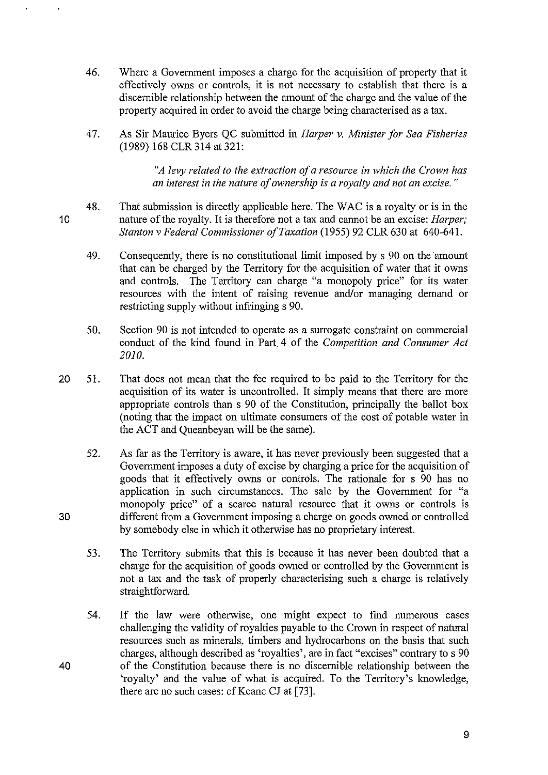- 46. Where a Government imposes a charge for the acquisition of property that it effectively owns or controls, it is not necessary to establish that there is a discernible relationship between the amount of the charge and the value of the property acquired in order to avoid the charge being characterised as a tax.
- 47. As Sir Maurice Byers QC submitted in *Harper* v. *Minister for Sea Fisheries*  (1989) 168 CLR314 at 321:

*"A levy related to the extraction of a resource in which the Crown has an interest in the nature of ownership* is *a royalty and not an excise. "* 

- 48. That submission is directly applicable here. The WAC is a royalty or is in the nature of the royalty. It is therefore not a tax and cannot be an excise: *Harper; Stanton* v *Federal Commissioner of Taxation* (1955) 92 CLR 630 at 640-641.
	- 49. Consequently, there is no constitutional limit imposed by s 90 on the amount that can be charged by the Territory for the acquisition of water that it owns and controls. The Territory can charge "a monopoly price" for its water resources with the intent of raising revenue and/or managing demand or restricting supply without infringing s 90.
	- 50. Section 90 is not intended to operate as a surrogate constraint on commercial conduct of the kind found in Part 4 of the *Competition and Consumer Act 2010.*
- 20 51. That does not mean that the fee required to be paid to the Territory for the acquisition of its water is uncontrolled. It simply means that there are more appropriate controls than s 90 of the Constitution, principally the ballot box (noting that the impact on ultimate consumers of the cost of potable water in the ACT and Queanbeyan will be the same).
	- 52. As far as the Territory is aware, it has never previously been suggested that a Government imposes a duty of excise by charging a price for the acquisition of goods that it effectively owns or controls. The rationale for s 90 has no application in such circumstances. The sale by the Government for "a monopoly price" of a scarce natural resource that it owns or controls is different from a Government imposing a charge on goods owned or controlled by somebody else in which it otherwise has no proprietary interest.
	- 53. The Territory submits that this is because it has never been doubted that a charge for the acquisition of goods owned or controlled by the Government is not a tax and the task of properly characterising such a charge is relatively straightforward.
	- 54. If the law were otherwise, one might expect to find numerous cases challenging the validity of royalties payable to the Crown in respect of natural resources such as minerals, timbers and hydrocarbons on the basis that such charges, although described as 'royalties', are in fact "excises" contrary to s 90 of the Constitution because there is no discernible relationship between the 'royalty' and the value of what is acquired. To the Territory's knowledge, there are no such cases: cf Keane CJ at [73].

10

30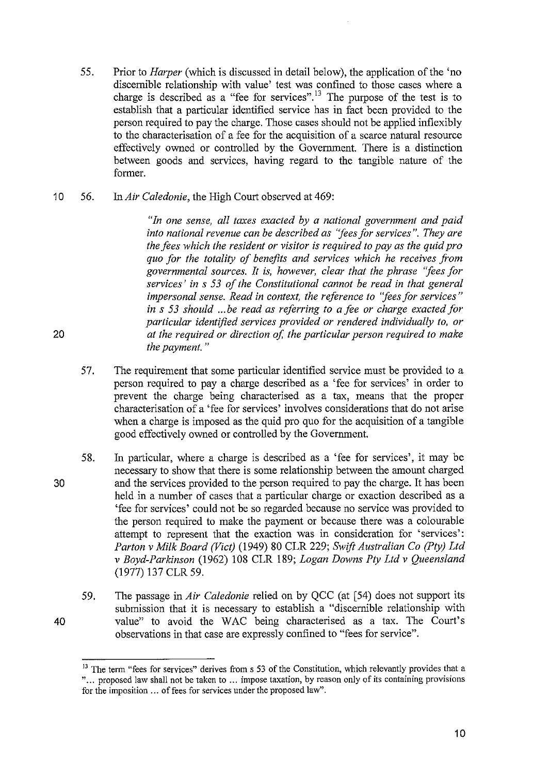- 55. Prior to *Harper* (which is discussed in detail below), the application of the 'no discernible relationship with value' test was confined to those cases where a charge is described as a "fee for services".<sup>13</sup> The purpose of the test is to establish that a particular identified service has in fact been provided to the person required to pay the charge. Those cases should not be applied inflexibly to the characterisation of a fee for the acquisition of a scarce natnral resource effectively owned or controlled by the Government. There is a distinction between goods and services, having regard to the tangible natnre of the former.
- 10 56. In *Air Caledonie,* the High Court observed at 469:

*"In one sense, all taxes exacted by a national government and paid into national revenue can be described as "fees for services* ". *They are the fees which the resident or visitor is required to pay as the quid pro quo for the totality of benefits and services which he receives from governmental sources. It is, however, clear that the phrase "fees for services' in* s 53 *of the Constitutional cannot be read in that general impersonal sense. Read in context, the reference to "fees for services" in* s 53 *should* ... *be read as referring to a fee or charge exacted for particular identified services provided or rendered individually to, or at the required or direction of, the particular person required to make the payment. "* 

- 57. The requirement that some particular identified service must be provided to a person required to pay a charge described as a 'fee for services' in order to prevent the charge being characterised as a tax, means that the proper characterisation of a 'fee for services' involves considerations that do not arise when a charge is imposed as the quid pro quo for the acquisition of a tangible good effectively owned or controlled by the Government.
- 30 58. In particular, where a charge is described as a 'fee for services', it may be necessary to show that there is some relationship between the amount charged and the services provided to the person required to pay the charge. It has been held in a number of cases that a particular charge or exaction described as a 'fee for services' could not be so regarded because no service was provided to the person required to make the payment or because there was a colourable attempt to represent that the exaction was in consideration for 'services': *Parton* v *Milk Board (Vict)* (1949) 80 CLR 229; *Swift Australian Co (Pty) Ltd*  v *Boyd-Parkinson* (1962) 108 CLR 189; *Logan Downs Ply Ltd* v *Queensland*  (1977) 137 CLR 59.
	- 59. The passage in *Air Caledonie* relied on by QCC (at [54) does not support its submission that it is necessary to establish a "discernible relationship with value" to avoid the WAC being characterised as a tax. The Court's observations in that case are expressly confined to "fees for service".

20

<sup>&</sup>lt;sup>13</sup> The term "fees for services" derives from s 53 of the Constitution, which relevantly provides that a " ... proposed law shall not be taken to ... impose taxation, by reason only of its containing provisions for the imposition ... of fees for services under the proposed law".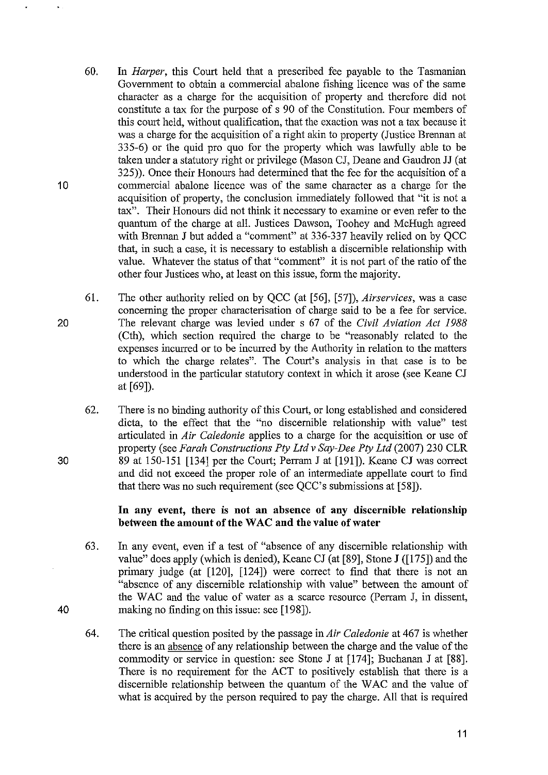- 60. In *Harper*, this Court held that a prescribed fee payable to the Tasmanian Government to obtain a commercial abalone fishing licence was of the same character as a charge for the acquisition of property and therefore did not constitute a tax for the purpose of s 90 of the Constitution. Four members of this court held, without qualification, that the exaction was not a tax because it was a charge for the acquisition of a right akin to property (Justice Brennan at 335-6) or the quid pro quo for the property which was lawfully able to be taken under a statutory right or privilege (Mason CJ, Deane and Gaudron JJ (at 325)). Once their Honours had determined that the fee for the acquisition of a commercial abalone licence was of the same character as a charge for the acquisition of property, the conclusion immediately followed that "it is not a tax". Their Honours did not think it necessary to examine or even refer to the quantum of the charge at all. Justices Dawson, Toohey and McHugh agreed with Brennan J but added a "connnent" at 336-337 heavily relied on by QCC that, in such a case, it is necessary to establish a discernible relationship with value. Whatever the status of that "comment" it is not part of the ratio of the other four Justices who, at least on this issue, form the majority.
- 61. The other authority relied on by QCC (at [56], [57]), *Airservices,* was a case concerning the proper characterisation of charge said to be a fee for service. The relevant charge was levied under s 67 of the *Civil Aviation Act 1988*  (Cth), which section required the charge to be "reasonably related to the expenses incurred or to be incurred by the Authority in relation to the matters to which the charge relates". The Court's analysis in that case is to be understood in the particular statutory context in which it arose (see Keane CJ at [69]).
	- 62. There is no binding authority of this Court, or long established and considered dicta, to the effect that the "no discernible relationship with value" test articulated in *Air Caledonie* applies to a charge for the acquisition or use of property (see *Farah Constructions Pty Ltd* v *Say-Dee Pty Ltd* (2007) 230 CLR 89 at 150-151 [134] per the Court; Perram J at [191]). Keane CJ was correct and did not exceed the proper role of an intermediate appellate court to find that there was no such requirement (see QCC's submissions at [58]).

## In any event, there is not an absence of any discernible relationship between the amount of the WAC and the value of water

- 63. In any event, even if a test of "absence of any discernible relationship with value" does apply (which is denied), Keane CJ (at [89], Stone J ([175]) and the primary judge (at [120], [124]) were correct to find that there is not an "absence of any discernible relationship with value" between the amount of the W AC and the value of water as a scarce resource (Perram J, in dissent, making no fmding on this issue: see [198]).
- 64. The critical question posited by the passage in *Air Caledonie* at 467 is whether there is an absence of any relationship between the charge and the value of the commodity or service in question: see Stone J at [174]; Buchanan J at [88]. There is no requirement for the ACT to positively establish that there is a discernible relationship between the quantum of the W AC and the value of what is acquired by the person required to pay the charge. All that is required

30

20

10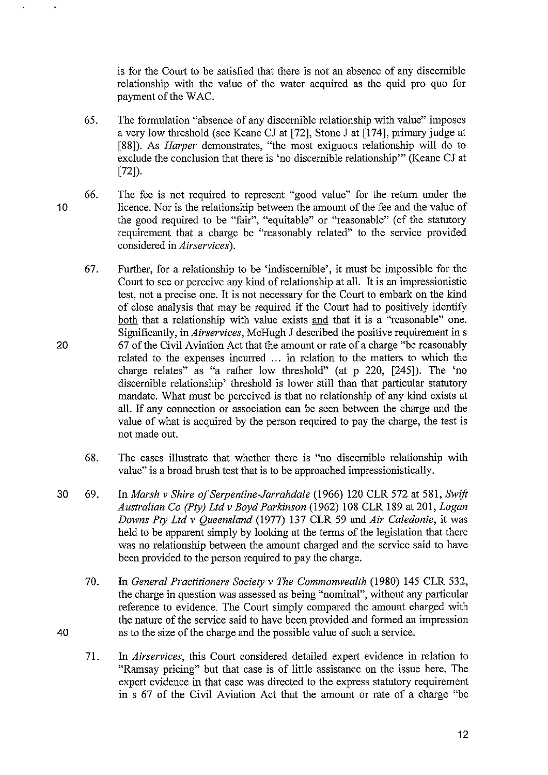is for the Court to be satisfied that there is not an absence of any discernible relationship with the value of the water acquired as the quid pro quo for payment of the WAC.

- 65. The formulation "absence of any discernible relationship with value" imposes a very low threshold (see Keane CJ at [72], Stone J at [174], primary judge at [88]). As *Harper* demonstrates, "the most exiguous relationship will do to exclude the conclusion that there is 'no discernible relationship'" (Keane CJ at [72]).
- 10 66. The fee is not required to represent "good value" for the return under the licence. Nor is the relationship between the amount of the fee and the value of the good required to be "fair", "equitable" or "reasonable" (cf the statutory requirement that a charge be "reasonably related" to the service provided considered in *Airservices).* 
	- 67. Further, for a relationship to be 'indiscernible', it must be impossible for the Court to see or perceive any kind of relationship at all. It is an impressionistic test, not a precise one. It is not necessary for the Court to embark on the kind of close analysis that may be required if the Court had to positively identifY both that a relationship with value exists and that it is a "reasonable" one. Significantly, in *Airservices,* McHugh J described the positive requirement in s 67 of the Civil Aviation Act that the amount or rate of a charge "be reasonably related to the expenses incurred ... in relation to the matters to which the charge relates" as "a rather low threshold" (at p 220, [245]). The 'no discernible relationship' threshold is lower still than that particular statutory mandate. What must be perceived is that no relationship of any kind exists at all. If any connection or association can be seen between the charge and the value of what is acquired by the person required to pay the charge, the test is not made out.
		- 68. The cases illustrate that whether there is "no discernible relationship with value" is a broad brush test that is to be approached impressionistically.
- 30 69. In *Marsh* v *Shire ofSerpentine-Jarrahdale* (1966) 120 CLR 572 at 581, *Swift Australian Co (Pty) Ltd* v *Boyd Parkinson* (1962) 108 CLR 189 at 201, *Logan Downs Pty Ltd* v *Queensland* (1977) 137 CLR 59 and *Air Caledonie,* it was held to be apparent simply by looking at the terms of the legislation that there was no relationship between the amount charged and the service said to have been provided to the person required to pay the charge.
	- 70. In *General Practitioners Society* v *The Commonwealth* (1980) 145 CLR 532, the charge in question was assessed as being "nominal", without any particular reference to evidence. The Court simply compared the amount charged with the nature of the service said to have been provided and formed an impression as to the size of the charge and the possible value of such a service.
	- 71. In *Airservices,* this Court considered detailed expert evidence in relation to "Ramsay pricing" but that case is of little assistance on the issue here. The expert evidence in that case was directed to the express statutory requirement in s 67 of the Civil Aviation Act that the amount or rate of a charge "be

20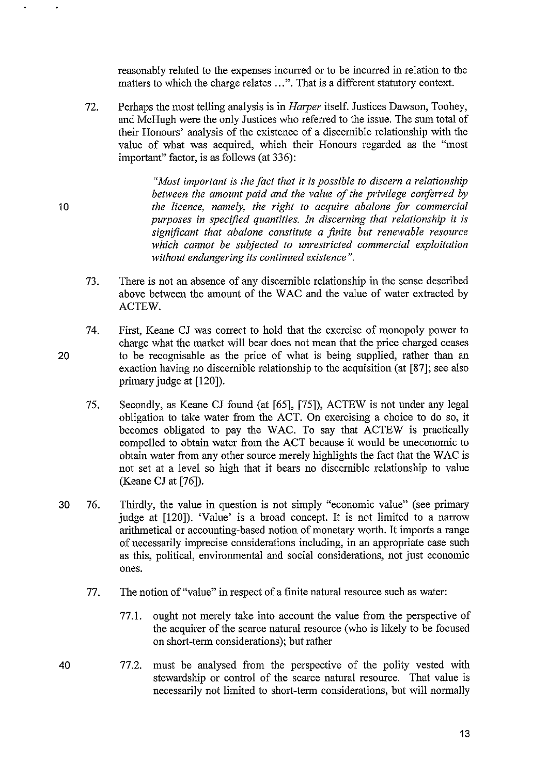reasonably related to the expenses incuned or to be incurred in relation to the matters to which the charge relates ... ". That is a different statutory context.

72. Perhaps the most telling analysis is in *Harper* itself. Justices Dawson, Toohey, and McHugh were the only Justices who referred to the issue. The sum total of their Honours' analysis of the existence of a discernible relationship with the value of what was acquired, which their Honours regarded as the "most important" factor, is as follows (at 336):

> *"Most important is the fact that it is possible to discern a relationship between the amount paid and the value of the privilege conferred by the licence, namely, the right to acquire abalone for commercial purposes in specified quantities. In discerning that relationship it is significant that abalone constitute a finite but renewable resource which cannot be subjected to unrestricted commercial exploitation without endangering its continued existence* ".

- 73. There is not an absence of any discernible relationship in the sense described above between the amount of the WAC and the value of water extracted by ACTEW.
- 74. First, Keane CJ was correct to hold that the exercise of monopoly power to charge what the market will bear does not mean that the price charged ceases to be recognisable as the price of what is being supplied, rather than an exaction having no discernible relationship to the acquisition (at [87]; see also primary judge at [120]).
	- 75. Secondly, as Keane CJ found (at [65], [75]), ACTEW is not under any legal obligation to take water from the ACT. On exercising a choice to do so, it becomes obligated to pay the WAC. To say that ACTEW is practically compelled to obtain water from the ACT because it would be uneconomic to obtain water from any other source merely highlights the fact that the WAC is not set at a level so high that it bears no discernible relationship to value (Keane CJ at [76]).
- 30 76. Thirdly, the value in question is not simply "economic value" (see primary judge at [120]). 'Value' is a broad concept. It is not limited to a narrow arithmetical or accounting-based notion of monetary worth. It imports a range of necessarily imprecise considerations including, in an appropriate case such as this, political, environmental and social considerations, not just economic ones.
	- 77. The notion of "value" in respect of a finite natural resource such as water:
		- 77.1. ought not merely take into account the value from the perspective of the acquirer of the scarce natural resource (who is likely to be focused on short-term considerations); but rather
- 40 77.2. must be analysed from the perspective of the polity vested with stewardship or control of the scarce natural resource. That value is necessarily not limited to short-term considerations, but will normally

10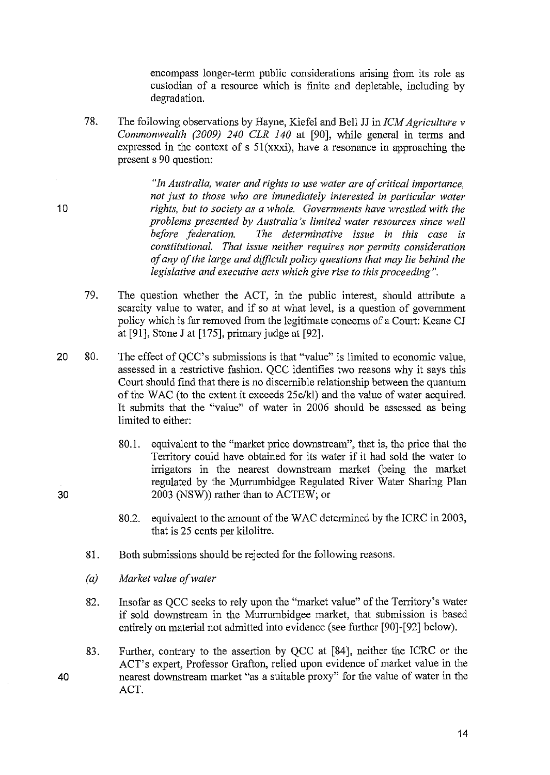encompass longer-term public considerations arising from its role as custodian of a resource which is finite and depletable, including by degradation.

78. The following observations by Hayne, Kiefel and Bell JJ in *ICM Agriculture* v *Commonwealth (2009) 240 CLR 140* at [90], while general in terms and expressed in the context of s 51(xxxi), have a resonance in approaching the present s 90 question:

> *"In Australia, water and rights to use water are of critical importance, not just to those who are immediately interested in particular water rights, but to society as a whole. Governments have wrestled with the problems presented by Australia's limited water resources since well before federation. The determinative issue in this case is constitutional. That issue neither requires nor permits consideration of any of the large and difficUlt policy questions that may lie behind the legislative and executive acts which give rise to this proceeding".*

- 79. The question whether the ACT, in the public interest, should attribute a scarcity value to water, and if so at what level, is a question of government policy which is far removed from the legitimate concerns of a Court: Keane CJ at [91], Stone J at [175], primary judge at [92].
- 20 so. The effect of QCC's submissions is that "value" is limited to economic value, assessed in a restrictive fashion. QCC identifies two reasons why it says this Court should find that there is no discernible relationship between the quantum of the WAC (to the extent it exceeds *25c/kl)* and the value of water acquired. It submits that the "value" of water in 2006 should be assessed as being limited to either:
	- SO.l. equivalent to the "market price downstream", that is, the price that the Territory could have obtained for its water if it had sold the water to irrigators in the nearest downstream market (being the market regulated by the Murrumbidgee Regulated River Water Sharing Plan 2003 (NSW)) rather than to ACTEW; or
	- SO.2. equivalent to the amount of the WAC determined by the ICRC in 2003, that is 25 cents per kilolitre.
	- SI. Both submissions should be rejected for the following reasons.
	- *(a) Market value of water*
	- S2. Insofar as QCC seeks to rely upon the "market value" of the Territory'S water if sold downstream in the Murrumbidgee market, that submission is based entirely on material not admitted into evidence (see further [90]-[92] below).
	- 83. Further, contrary to the assertion by QCC at [S4], neither the ICRC or the ACT's expert, Professor Grafton, relied upon evidence of market value in the nearest downstream market "as a suitable proxy" for the value of water in the ACT.

10

30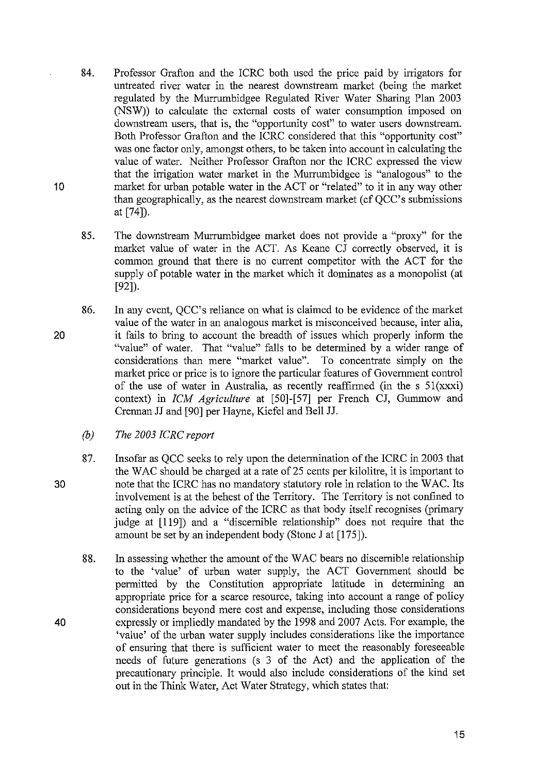- 84. Professor Grafton and the ICRC both used the price paid by irrigators for untreated river water in the nearest downstream market (being the market regulated by the Murrumbidgee Regulated River Water Sharing Plan 2003 (NSW)) to calculate the external costs of water consumption imposed on downstream users, that is, the "opportunity cost" to water users downstream. Both Professor Grafton and the ICRC considered that this "opportunity cost" was one factor only, amongst others, to be taken into account in calculating the value of water. Neither Professor Grafton nor the ICRC expressed the view that the irrigation water market in the Murrumbidgee is "analogous" to the market for urban potable water in the ACT or "related" to it in any way other than geographically, as the nearest downstream market (cf  $OCC$ 's submissions at [74]).
- 85. The downstream Murrumbidgee market does not provide a "proxy" for the market value of water in the ACT. As Keane CJ correctly observed, it is common ground that there is no current competitor with the ACT for the supply of potable water in the market which it dominates as a monopolist (at [92]).
- 86. In any event, QCC's reliance on what is claimed to be evidence of the market value of the water in an analogous market is misconceived because, inter alia, it fails to bring to account the breadth of issues which properly inform the "value" of water. That "value" falls to be determined by a wider range of considerations than mere "market value". To concentrate simply on the market price or price is to ignore the particular features of Government control of the use of water in Australia, as recently reaffirmed (in the s  $51(xxxi)$ ) context) in *fCM Agriculture* at [50]-[57] per French CJ, Gummow and Crennan JJ and [90] per Hayne, Kiefel and Bell JJ.
	- *(b) The 2003 fCRC report*
	- 87. Insofar as QCC seeks to rely upon the determination of the ICRC in 2003 that the WAC should be charged at a rate of 25 cents per kilolitre, it is important to note that the ICRC has no mandatory statutory role in relation to the W AC. Its involvement is at the behest of the Territory. The Territory is not confined to acting only on the advice of the ICRC as that body itself recognises (primary judge at [119]) and a "discernible relationship" does not require that the amount be set by an independent body (Stone J at [175]).
	- 88. In assessing whether the amount of the WAC bears no discernible relationship to the 'value' of urban water supply, the ACT Government should be permitted by the Constitution appropriate latitude in determining an appropriate price for a scarce resource, taking into account a range of policy considerations beyond mere cost and expense, including those considerations expressly or impliedly mandated by the 1998 and 2007 Acts. For example, the 'value' of the urban water supply includes considerations like the importance of ensuring that there is sufficient water to meet the reasonably foreseeable needs of future generations (s 3 of the Act) and the application of the precautionary principle. It would also include considerations of the kind set out in the Think Water, Act Water Strategy, which states that:

20

10

40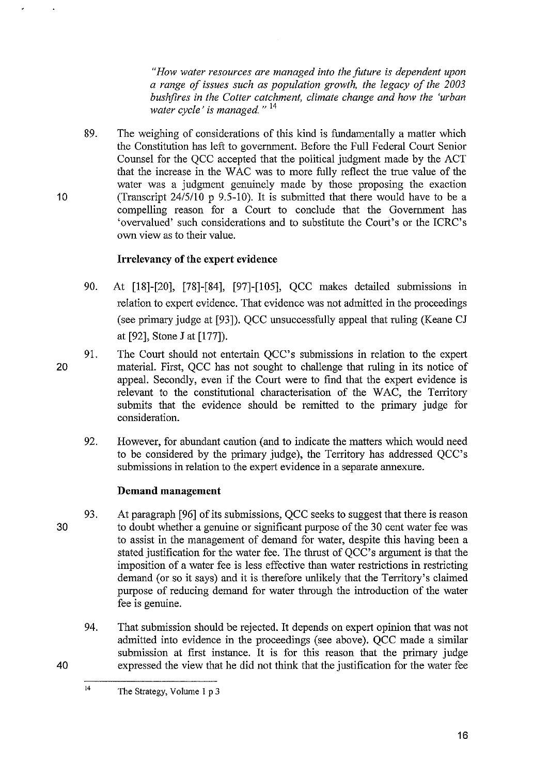*"How water resources are managed into the future is dependent upon a range of issues such as population growth, the legacy of the 2003 bushjires in the Cotter catchment, climate change and how the 'urban water cycle' is managed.* " <sup>14</sup>

89. The weighing of considerations of this kind is fundamentally a matter which the Constitution has left to government. Before the Full Federal Court Senior Counsel for the QCC accepted that the political judgment made by the ACT that the increase in the WAC was to more fully reflect the true value of the water was a judgment genuinely made by those proposing the exaction (Transcript 24/5/10 p 9.5-10). It is submitted that there would have to be a compelling reason for a Court to conclude that the Government has 'overvalued' such considerations and to substitute the Court's or the ICRC's own view as to their value.

# **Irrelevancy of the expert evidence**

- 90. At [18]-[20], [78]-[84], [97]-[105], QCC makes detailed submissions in relation to expert evidence. That evidence was not admitted in the proceedings (see primary judge at [93]). QCC unsuccessfully appeal that ruling (Keane CJ at [92], Stone J at [177]).
- 91. The Court should not entertain QCC's submissions in relation to the expert material. First, QCC has not sought to challenge that ruling in its notice of appeal. Secondly, even if the Court were to find that the expert evidence is relevant to the constitutional characterisation of the WAC, the Territory submits that the evidence should be remitted to the primary judge for consideration.
	- 92. However, for abundant caution (and to indicate the matters which would need to be considered by the primary judge), the Territory has addressed QCC's submissions in relation to the expert evidence in a separate annexure.

#### **Demand management**

- 93. At paragraph [96] of its submissions, QCC seeks to suggest that there is reason to doubt whether a genuine or significant purpose of the 30 cent water fee was to assist in the management of demand for water, despite this having been a stated justification for the water fee. The thrust of QCC's argument is that the imposition of a water fee is less effective than water restrictions in restricting demand (or so it says) and it is therefore unlikely that the Territory's claimed purpose of reducing demand for water through the introduction of the water fee is genuine.
	- 94. That submission should be rejected. It depends on expert opinion that was not admitted into evidence in the proceedings (see above). QCC made a similar submission at first instance. It is for this reason that the primary judge expressed the view that he did not think that the justification for the water fee

14 The Strategy, Volume I p 3

20

10

30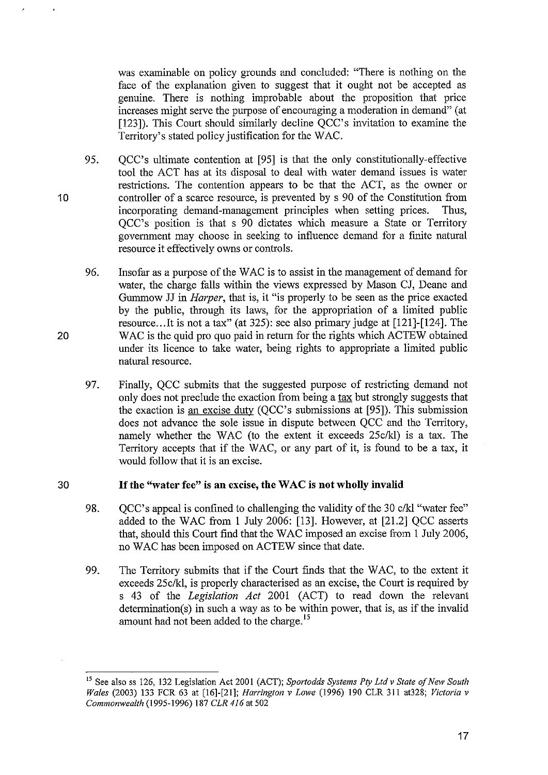was examinable on policy grounds and concluded: "There is nothing on the face of the explanation given to suggest that it ought not be accepted as genuine. There is nothing improbable about the proposition that price increases might serve the purpose of encouraging a moderation in demand" (at [123]). This Court should similarly decline OCC's invitation to examine the Territory's stated policy justification for the WAC.

- 95. QCC's ultimate contention at [95] is that the only constitutionally-effective tool the ACT has at its disposal to deal with water demand issues is water restrictions. The contention appears to be that the ACT, as the owner or controller of a scarce resource, is prevented by s 90 of the Constitution from incorporating demand-management principles when setting prices. Thus, QCC's position is that s 90 dictates which measure a State or Territory government may choose in seeking to influence demand for a finite natural resource it effectively owns or controls.
- 96. Insofar as a purpose of the W AC is to assist in the management of demand for water, the charge falls within the views expressed by Mason CJ, Deane and Gummow JJ in *Harper*, that is, it "is properly to be seen as the price exacted by the public, through its laws, for the appropriation of a limited public resource .. .It is not a tax" (at 325): see also primary judge at [121]-[124]. The WAC is the quid pro quo paid in return for the rights which ACTEW obtained under its licence to take water, being rights to appropriate a limited public natural resource.
- 97. Finally, QCC submits that the suggested purpose of restricting demand not only does not preclude the exaction from being a tax but strongly suggests that the exaction is an excise duty (QCC's submissions at [95]). This submission does not advance the sole issue in dispute between QCC and the Territory, namely whether the WAC (to the extent it exceeds 25c/kl) is a tax. The Territory accepts that if the WAC, or any part of it, is found to be a tax, it would follow that it is an excise.

#### 30 **If the** "water fee" is **an** excise, **the W** AC is **not** wholly invalid

- 98. QCC's appeal is confined to challenging the validity of the 30 c/kl "water fee" added to the WAC from 1 July 2006: [13]. However, at [21.2] QCC asserts that, should this Court find that the WAC imposed an excise from 1 July 2006, no W AC has been imposed on ACTEW since that date.
- 99. The Tenitory submits that if the Court finds that the WAC, to the extent it exceeds 25c/kl, is properly characterised as an excise, the Court is required by s 43 of the *Legislation Act* 2001 (ACT) to read down the relevant determination(s) in such a way as to be within power, that is, as if the invalid amount had not been added to the charge.<sup>15</sup>

10

IS See also ss 126, 132 Legislation Act 2001 (ACT); *Sportodds Systems Ply Ltd* v *State of New South Wales* (2003) 133 FCR 63 at [16]-[21]; *Harrington* v *Lowe* (1996) 190 CLR 311 at328; *Victoria* v *Commonwealth* (1995-1996) 187 *CLR* 416 at 502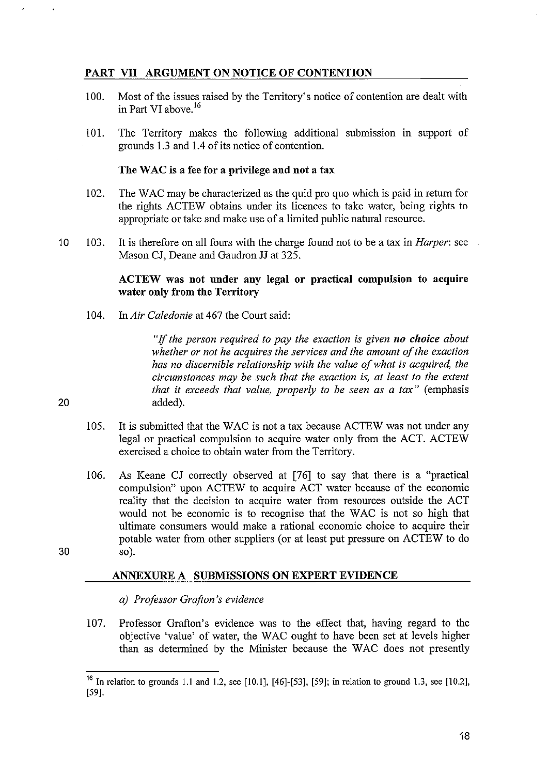## PART VII ARGUMENT ON NOTICE OF CONTENTION

- 100. Most of the issues raised by the Territory's notice of contention are dealt with in Part VI above. <sup>16</sup>
- 101. The Territory makes the following additional submission in support of grounds 1.3 and 1.4 of its notice of contention.

#### The WAC is a fee for a privilege and not a tax

- 102. The WAC may be characterized as the quid pro quo which is paid in return for the rights ACTEW obtains under its licences to take water, being rights to appropriate or take and make use of a limited public natural resource.
- 10 103. It is therefore on all fours with the charge found not to be a tax in *Harper:* see Mason CJ, Deane and Gaudron JJ at 325.

#### ACTEW was not under any legal or practical compulsion to acquire water only from the Territory

104. In *Air Caledonie* at 467 the Court said:

"If *the person required to pay the exaction is given no choice about whether or not he acquires the services and the amount of the exaction has no discernible relationship with the value of what is acquired, the circumstances may be such that the exaction is, at least to the extent that it exceeds that value, properly to be seen as a tax* " (emphasis 20 added).

- 105. It is submitted that the WAC is not a tax because ACTEW was not under any legal or practical compulsion to acquire water only from the ACT. ACTEW exercised a choice to obtain water from the Territory.
- 106. As Keane CJ correctly observed at [76] to say that there is a "practical compulsion" upon ACTEW to acquire ACT water because of the economic reality that the decision to acquire water from resources outside the ACT would not be economic is to recognise that the W AC is not so high that ultimate consumers would make a rational economic choice to acquire their potable water from other suppliers (or at least put pressure on ACTEW to do 30 so).

#### ANNEXURE A SUBMISSIONS ON EXPERT EVIDENCE

*a) Professor Grafton's evidence* 

107. Professor Grafton's evidence was to the effect that, having regard to the objective 'value' of water, the WAC ought to have been set at levels higher than as determined by the Minister because the WAC does not presently

<sup>&</sup>lt;sup>16</sup> In relation to grounds 1.1 and 1.2, see [10.1], [46]-[53], [59]; in relation to ground 1.3, see [10.2], [59].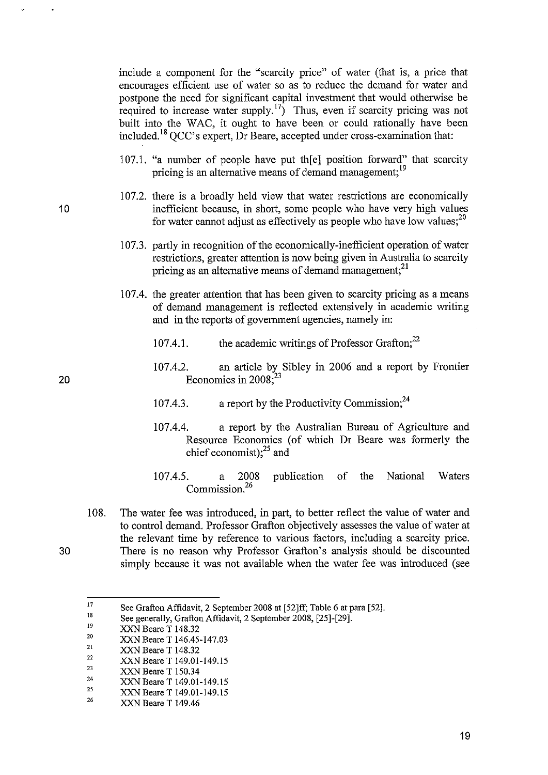include a component for the "scarcity price" of water (that is, a price that encourages efficient use of water so as to reduce the demand for water and postpone the need for significant capital investment that would otherwise be posipone the need for significant  $\frac{17}{2}$ . Thus, even if scarcity pricing was not built into the WAC, it ought to have been or could rationally have been included.18 QCC's expert, Dr Beare, accepted under cross-examination that:

- 107.1. "a number of people have put the el position forward" that scarcity pricing is an alternative means of demand management:<sup>19</sup>
- 107.2. there is a broadly held view that water restrictions are economically inefficient because, in short, some people who have very high values for water cannot adjust as effectively as people who have low values; $^{20}$
- 107.3. partly in recognition of the economically-inefficient operation of water restrictions, greater attention is now being given in Australia to scarcity pricing as an alternative means of demand management:<sup>21</sup>
- 107.4. the greater attention that has been given to scarcity pricing as a means of demand management is reflected extensively in academic writing and in the reports of government agencies, namely in:
	- 107.4.1. the academic writings of Professor Grafton; $^{22}$
	- 107.4.2. an article by Sibley in 2006 and a report by Frontier Economics in 2008; $^{23}$
	- 107.4.3. a report by the Productivity Commission;  $2^4$
	- 107.4.4. a report by the Australian Bureau of Agriculture and Resource Economics (of which Dr Beare was formerly the chief economist);<sup>25</sup> and
	- 107.4.5. a 2008 publication of the National Waters Commission.<sup>26</sup>
- 108. The water fee was introduced, in part, to better reflect the value of water and to control demand. Professor Grafton objectively assesses the value of water at the relevant time by reference to various factors, including a scarcity price. 30 There is no reason why Professor Grafton's analysis should be discounted simply because it was not available when the water fee was introduced (see

<sup>17</sup>  See Grafton Affidavit, 2 September 2008 at [52]ff; Table 6 at para [52].

I' See generally, Grafton Affidavit, 2 September 2008, [25]-[29].

I. XXN Beare T 148.32

<sup>20</sup>  XXN Beare T 146.45-147.03

<sup>21</sup>  XXN Beare T 148.32

<sup>22</sup>  XXN Beare T 149.01-149.15

<sup>23</sup>  XXN Beare T 150.34

<sup>24</sup>  XXN Beare T 149.01-149.15

<sup>25</sup>  XXN Beare T 149.01-149.15

<sup>26</sup>  XXN Beare T 149.46